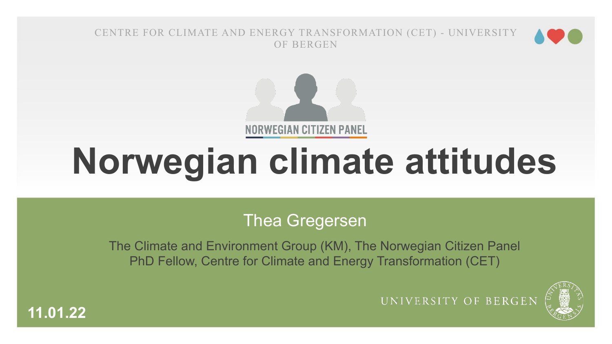



# **Norwegian climate attitudes**

#### Thea Gregersen

The Climate and Environment Group (KM), The Norwegian Citizen Panel PhD Fellow, Centre for Climate and Energy Transformation (CET)



UNIVERSITY OF BERGEN

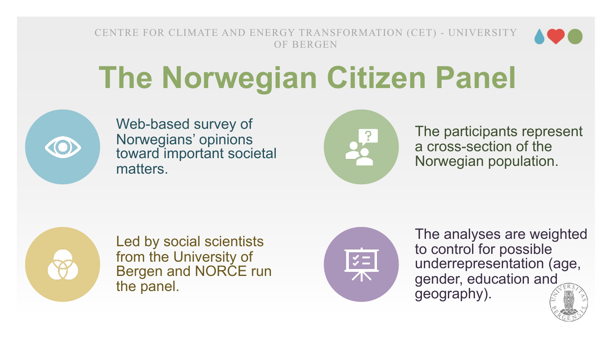

## **The Norwegian Citizen Panel**



Web-based survey of Norwegians' opinions toward important societal matters.



The participants represent a cross-section of the Norwegian population.



Led by social scientists from the University of Bergen and NORCE run the panel.



The analyses are weighted to control for possible underrepresentation (age, gender, education and geography).

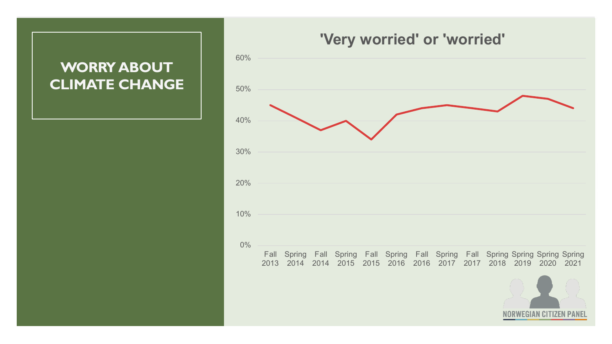#### **WORRY ABOUT CLIMATE CHANGE**

#### **'Very worried' or 'worried'**

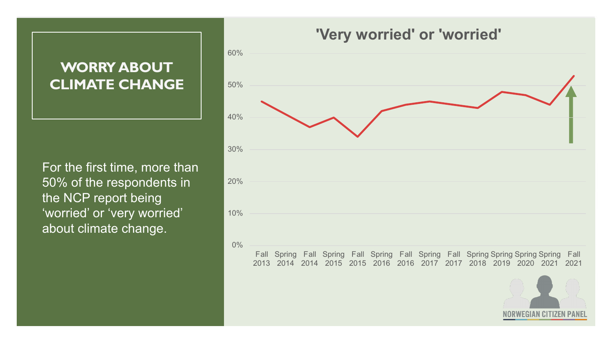#### **WORRY ABOUT CLIMATE CHANGE**

For the first time, more than 50% of the respondents in the NCP report being 'worried' or 'very worried' about climate change.

#### **'Very worried' or 'worried'**



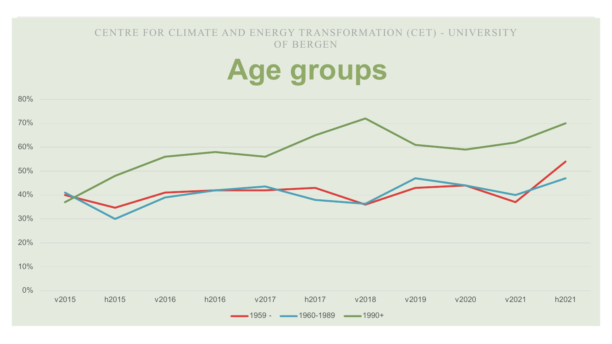### **Age groups**

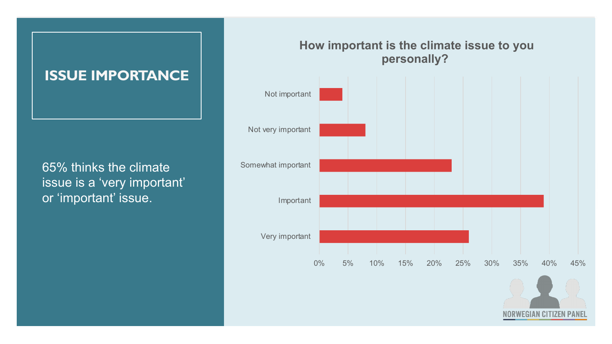#### **ISSUE IMPORTANCE**

65% thinks the climate issue is a 'very important' or 'important' issue.

#### **How important is the climate issue to you personally?**



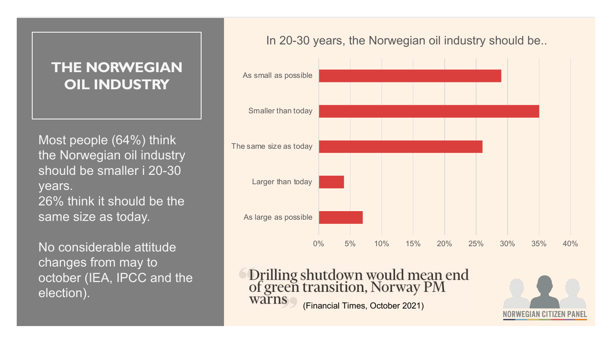#### **THE NORWEGIAN OIL INDUSTRY**

Most people (64%) think the Norwegian oil industry should be smaller i 20-30 years. 26% think it should be the same size as today.

No considerable attitude changes from may to october (IEA, IPCC and the election).

In 20-30 years, the Norwegian oil industry should be..



Drilling shutdown would mean end<br>of green transition, Norway PM warns (Financial Times, October 2021)

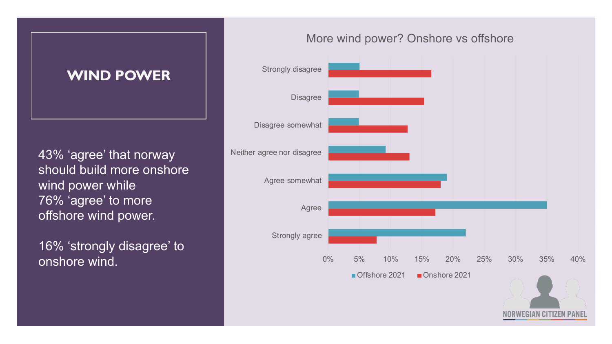#### **WIND POWER**

43% 'agree' that norway should build more onshore wind power while 76% 'agree' to more offshore wind power.

16% 'strongly disagree' to

#### More wind power? Onshore vs offshore

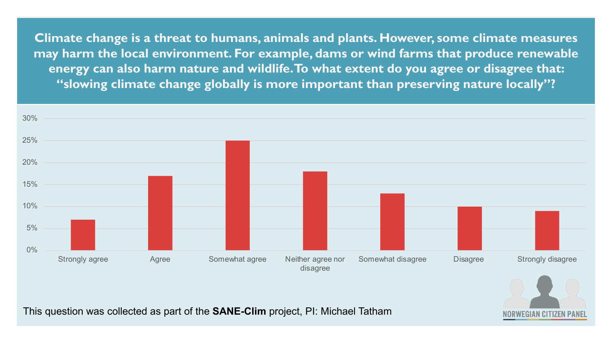**Climate change is a threat to humans, animals and plants. However, some climate measures may harm the local environment. For example, dams or wind farms that produce renewable energy can also harm nature and wildlife. To what extent do you agree or disagree that: "slowing climate change globally is more important than preserving nature locally"?**



**NORWEGIAN CITIZEN PAN** 

This question was collected as part of the **SANE-Clim** project, PI: Michael Tatham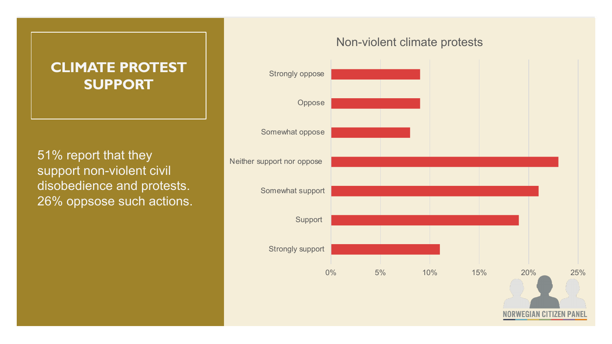#### **CLIMATE PROTEST SUPPORT**

51% report that they support non-violent civil disobedience and protests. 26% oppsose such actions.

#### Non-violent climate protests

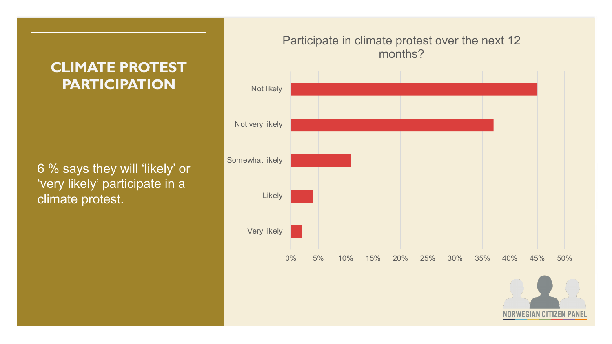#### **CLIMATE PROTEST PARTICIPATION**

6 % says they will 'likely' or 'very likely' participate in a climate protest.

#### Participate in climate protest over the next 12 months?



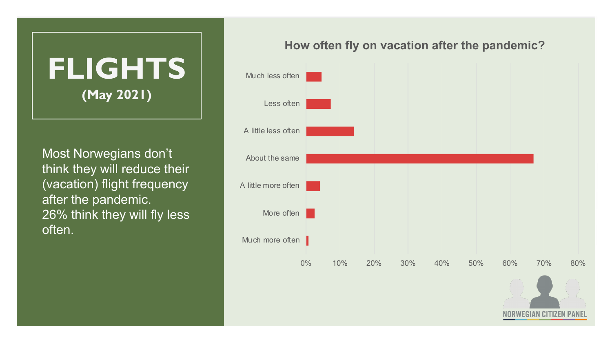

Most Norwegians don't think they will reduce their (vacation) flight frequency after the pandemic. 26% think they will fly less often.

#### **How often fly on vacation after the pandemic?**

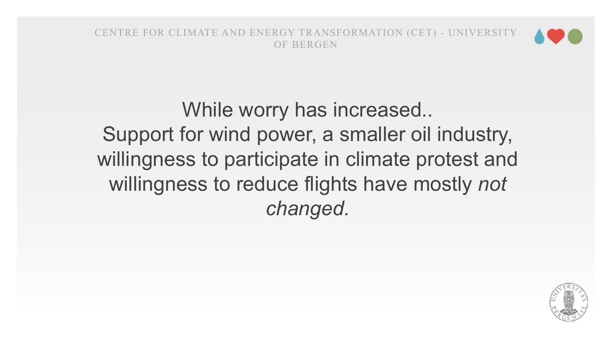

While worry has increased.. Support for wind power, a smaller oil industry, willingness to participate in climate protest and willingness to reduce flights have mostly *not changed.* 

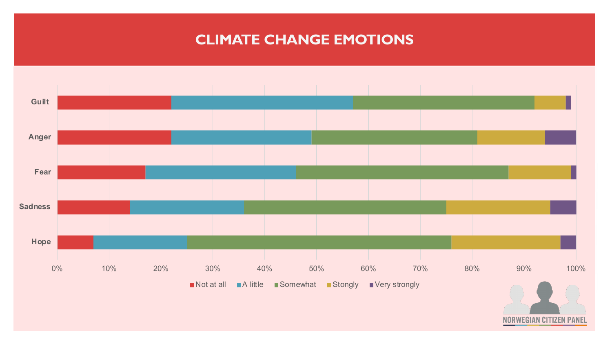#### **CLIMATE CHANGE EMOTIONS**



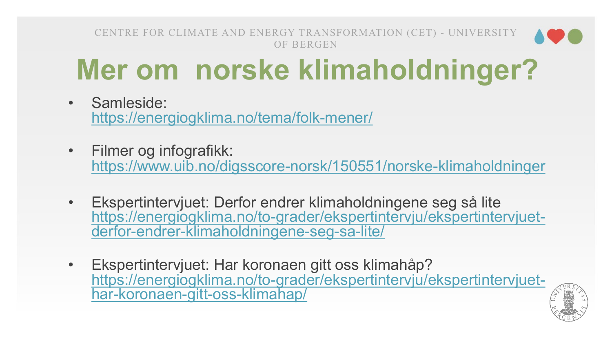### **Mer om norske klimaholdninger**

- Samleside: https://energiogklima.no/tema/folk-mener/
- Filmer og infografikk: https://www.uib.no/digsscore-norsk/150551/norske-klimaholdnir
- Ekspertintervjuet: Derfor endrer klimaholdningene seg så lite https://energiogklima.no/to-grader/ekspertintervju/ekspertintervj<br>derfor-endrer-klimaholdningene-seg-sa-lite/
- Ekspertintervjuet: Har koronaen gitt oss klimahåp? https://energiogklima.no/to-grader/ekspertintervju/ekspertintervj<br>har-koronaen-gitt-oss-klimahap/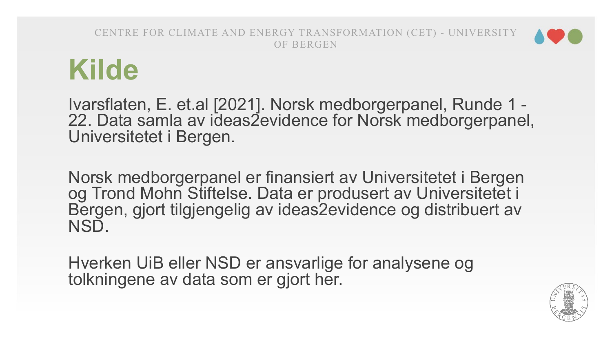

Ivarsflaten, E. et.al [2021]. Norsk medborgerpanel, Runde 1 - 22. Data samla av ideas2evidence for Norsk medborgerpanel, Universitetet i Bergen.

Norsk medborgerpanel er finansiert av Universitetet i Bergen og Trond Mohn Stiftelse. Data er produsert av Universitetet i Bergen, gjort tilgjengelig av ideas2evidence og distribuert av NSD.

Hverken UiB eller NSD er ansvarlige for analysene og tolkningene av data som er gjort her.